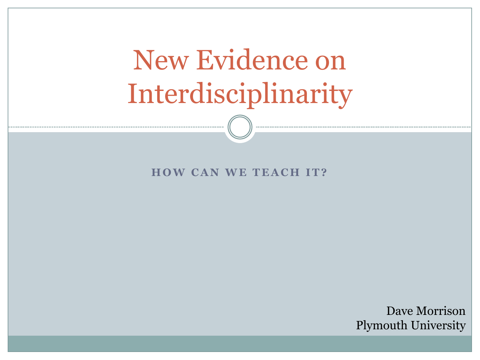# New Evidence on Interdisciplinarity

#### **HOW CAN WE TEACH IT?**

Dave Morrison Plymouth University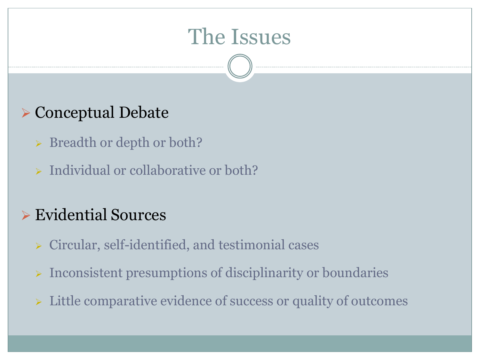## The Issues

### Conceptual Debate

- > Breadth or depth or both?
- $\triangleright$  Individual or collaborative or both?

### Evidential Sources

- $\triangleright$  Circular, self-identified, and testimonial cases
- $\triangleright$  Inconsistent presumptions of disciplinarity or boundaries
- $\triangleright$  Little comparative evidence of success or quality of outcomes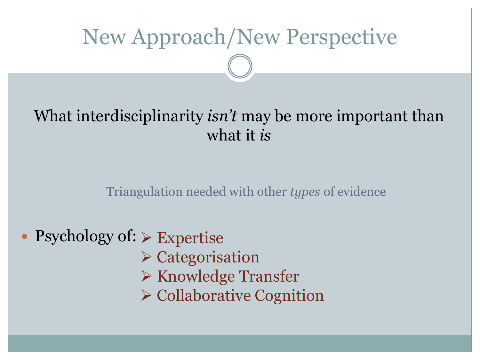## New Approach/New Perspective

### What interdisciplinarity *isn't* may be more important than what it *is*

Triangulation needed with other *types* of evidence

- Psychology of:  $\triangleright$  Expertise
	- $\triangleright$  Categorisation
	- $\triangleright$  Knowledge Transfer
	- $\triangleright$  Collaborative Cognition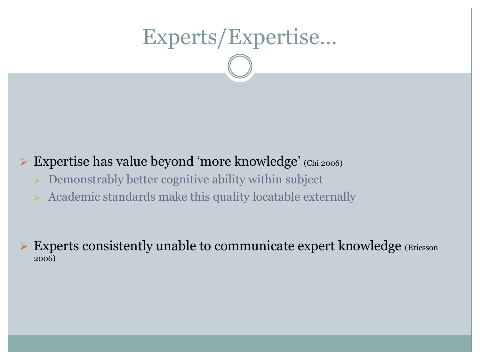## Experts/Expertise…

### Expertise has value beyond 'more knowledge' (Chi 2006)

- $\triangleright$  Demonstrably better cognitive ability within subject
- $\triangleright$  Academic standards make this quality locatable externally

 $\triangleright$  Experts consistently unable to communicate expert knowledge (Ericsson 2006)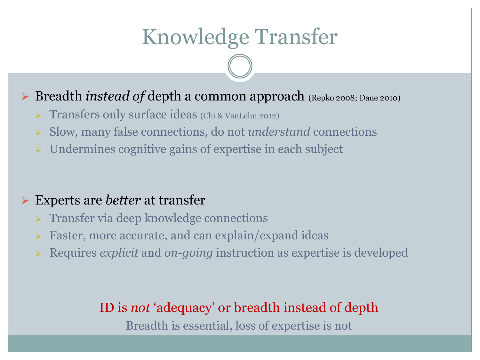## Knowledge Transfer

### Breadth *instead of* depth a common approach (Repko 2008; Dane 2010)

- > Transfers only surface ideas (Chi & VanLehn 2012)
- Slow, many false connections, do not *understand* connections
- $\triangleright$  Undermines cognitive gains of expertise in each subject

#### Experts are *better* at transfer

- **Figure 1.5 Transfer via deep knowledge connections**
- **Faster, more accurate, and can explain/expand ideas**
- Requires *explicit* and *on-going* instruction as expertise is developed

#### ID is *not* 'adequacy' or breadth instead of depth

Breadth is essential, loss of expertise is not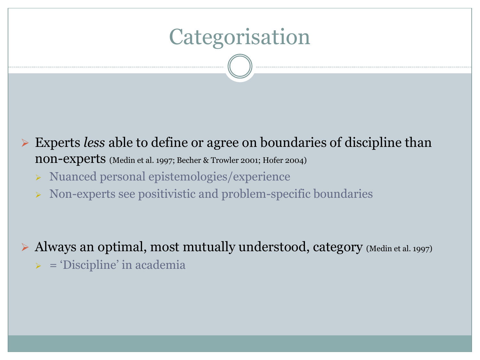## Categorisation

 Experts *less* able to define or agree on boundaries of discipline than non-experts (Medin et al. 1997; Becher & Trowler 2001; Hofer 2004)

- > Nuanced personal epistemologies/experience
- $\triangleright$  Non-experts see positivistic and problem-specific boundaries

 $\triangleright$  Always an optimal, most mutually understood, category (Medin et al. 1997)  $\triangleright$  = 'Discipline' in academia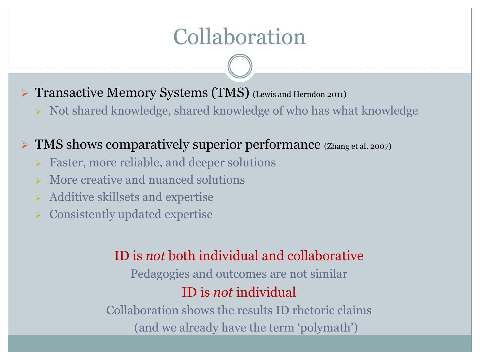## Collaboration

▶ Transactive Memory Systems (TMS) (Lewis and Herndon 2011)

 $\triangleright$  Not shared knowledge, shared knowledge of who has what knowledge

 $\triangleright$  TMS shows comparatively superior performance (Zhang et al. 2007)

- **Easter, more reliable, and deeper solutions**
- $\triangleright$  More creative and nuanced solutions
- $\triangleright$  Additive skillsets and expertise
- Consistently updated expertise

### ID is *not* both individual and collaborative

Pedagogies and outcomes are not similar ID is *not* individual

Collaboration shows the results ID rhetoric claims (and we already have the term 'polymath')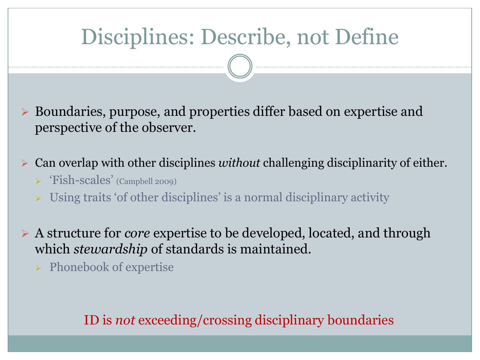## Disciplines: Describe, not Define

 Boundaries, purpose, and properties differ based on expertise and perspective of the observer.

Can overlap with other disciplines *without* challenging disciplinarity of either.

- 'Fish-scales' (Campbell 2009)
- Using traits 'of other disciplines' is a normal disciplinary activity
- A structure for *core* expertise to be developed, located, and through which *stewardship* of standards is maintained.
	- $\triangleright$  Phonebook of expertise

#### ID is *not* exceeding/crossing disciplinary boundaries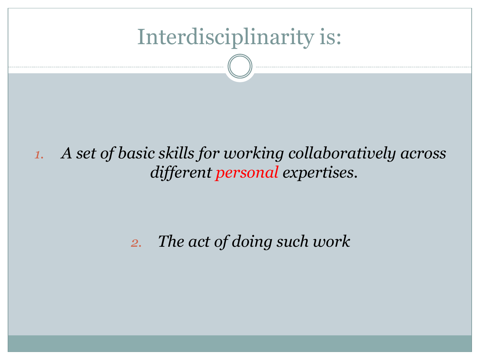## Interdisciplinarity is:

### *1. A set of basic skills for working collaboratively across different personal expertises*.

### *2. The act of doing such work*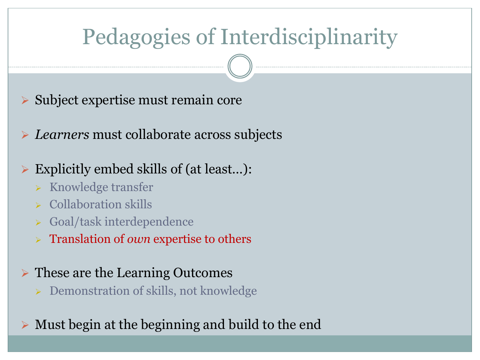## Pedagogies of Interdisciplinarity

- $\triangleright$  Subject expertise must remain core
- *Learners* must collaborate across subjects

### Explicitly embed skills of (at least…):

- $\triangleright$  Knowledge transfer
- $\triangleright$  Collaboration skills
- Goal/task interdependence
- Translation of *own* expertise to others

### These are the Learning Outcomes

▶ <b>Demonstration of skills, not knowledge</b>

 $\triangleright$  Must begin at the beginning and build to the end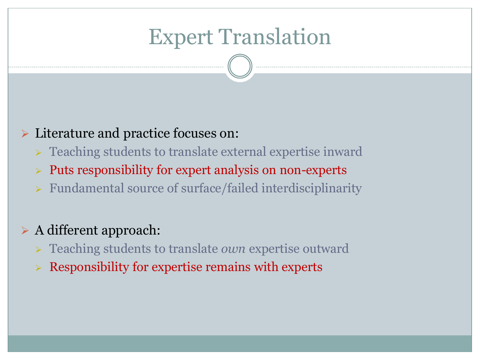## Expert Translation

#### **EXECUTER 2 Exterature and practice focuses on:**

- **EXECUTE:** Teaching students to translate external expertise inward
- $\triangleright$  Puts responsibility for expert analysis on non-experts
- Fundamental source of surface/failed interdisciplinarity

#### $\triangleright$  A different approach:

- Teaching students to translate *own* expertise outward
- Responsibility for expertise remains with experts